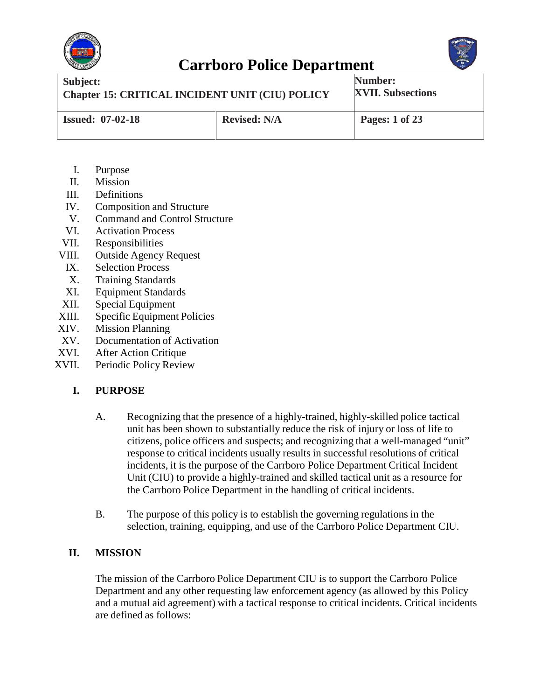



| Subject:                                               |                     | Number:                  |
|--------------------------------------------------------|---------------------|--------------------------|
| <b>Chapter 15: CRITICAL INCIDENT UNIT (CIU) POLICY</b> |                     | <b>XVII. Subsections</b> |
| <b>Issued: 07-02-18</b>                                | <b>Revised: N/A</b> | Pages: 1 of 23           |

- I. Purpose
- II. Mission
- III. Definitions
- IV. Composition and Structure
- V. Command and Control Structure
- VI. Activation Process
- VII. Responsibilities
- VIII. Outside Agency Request
	- IX. Selection Process
	- X. Training Standards
- XI. Equipment Standards
- XII. Special Equipment
- XIII. Specific Equipment Policies
- XIV. Mission Planning
- XV. Documentation of Activation
- XVI. After Action Critique
- XVII. Periodic Policy Review

#### **I. PURPOSE**

- A. Recognizing that the presence of a highly-trained, highly-skilled police tactical unit has been shown to substantially reduce the risk of injury or loss of life to citizens, police officers and suspects; and recognizing that a well-managed "unit" response to critical incidents usually results in successful resolutions of critical incidents, it is the purpose of the Carrboro Police Department Critical Incident Unit (CIU) to provide a highly-trained and skilled tactical unit as a resource for the Carrboro Police Department in the handling of critical incidents.
- B. The purpose of this policy is to establish the governing regulations in the selection, training, equipping, and use of the Carrboro Police Department CIU.

#### **II. MISSION**

The mission of the Carrboro Police Department CIU is to support the Carrboro Police Department and any other requesting law enforcement agency (as allowed by this Policy and a mutual aid agreement) with a tactical response to critical incidents. Critical incidents are defined as follows: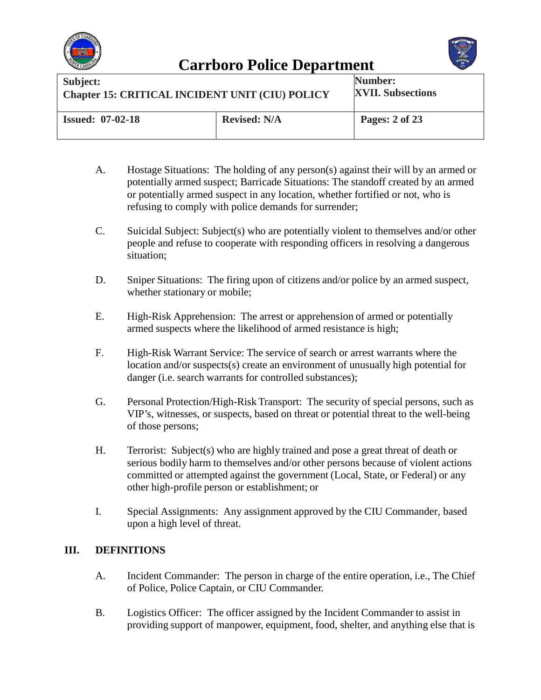



| Subject:                                               |                     | Number:                  |
|--------------------------------------------------------|---------------------|--------------------------|
| <b>Chapter 15: CRITICAL INCIDENT UNIT (CIU) POLICY</b> |                     | <b>XVII. Subsections</b> |
| <b>Issued: 07-02-18</b>                                | <b>Revised: N/A</b> | Pages: 2 of 23           |

- A. Hostage Situations: The holding of any person(s) against their will by an armed or potentially armed suspect; Barricade Situations: The standoff created by an armed or potentially armed suspect in any location, whether fortified or not, who is refusing to comply with police demands for surrender;
- C. Suicidal Subject: Subject(s) who are potentially violent to themselves and/or other people and refuse to cooperate with responding officers in resolving a dangerous situation;
- D. Sniper Situations: The firing upon of citizens and/or police by an armed suspect, whether stationary or mobile;
- E. High-Risk Apprehension: The arrest or apprehension of armed or potentially armed suspects where the likelihood of armed resistance is high;
- F. High-Risk Warrant Service: The service of search or arrest warrants where the location and/or suspects(s) create an environment of unusually high potential for danger (*i.e.* search warrants for controlled substances);
- G. Personal Protection/High-Risk Transport: The security of special persons, such as VIP's, witnesses, or suspects, based on threat or potential threat to the well-being of those persons;
- H. Terrorist: Subject(s) who are highly trained and pose a great threat of death or serious bodily harm to themselves and/or other persons because of violent actions committed or attempted against the government (Local, State, or Federal) or any other high-profile person or establishment; or
- I. Special Assignments: Any assignment approved by the CIU Commander, based upon a high level of threat.

#### **III. DEFINITIONS**

- A. Incident Commander: The person in charge of the entire operation, i.e., The Chief of Police, Police Captain, or CIU Commander.
- B. Logistics Officer: The officer assigned by the Incident Commander to assist in providing support of manpower, equipment, food, shelter, and anything else that is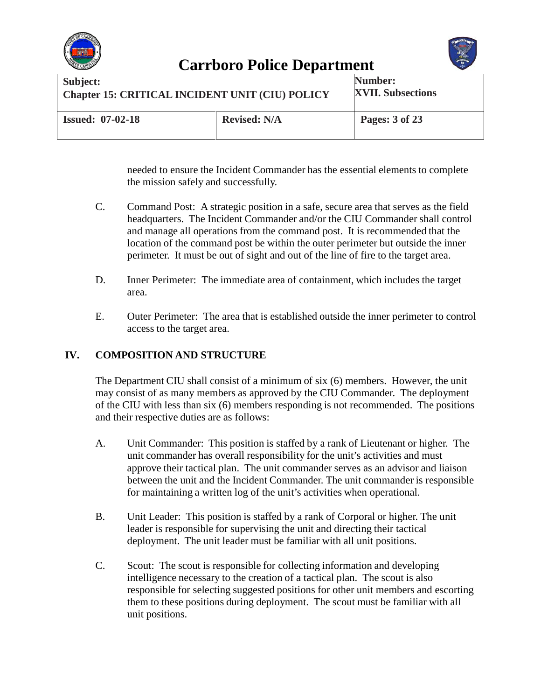



| Subject:                                               |                     | Number:                  |
|--------------------------------------------------------|---------------------|--------------------------|
| <b>Chapter 15: CRITICAL INCIDENT UNIT (CIU) POLICY</b> |                     | <b>XVII. Subsections</b> |
| <b>Issued: 07-02-18</b>                                | <b>Revised: N/A</b> | Pages: 3 of 23           |

needed to ensure the Incident Commander has the essential elements to complete the mission safely and successfully.

- C. Command Post: A strategic position in a safe, secure area that serves as the field headquarters. The Incident Commander and/or the CIU Commander shall control and manage all operations from the command post. It is recommended that the location of the command post be within the outer perimeter but outside the inner perimeter. It must be out of sight and out of the line of fire to the target area.
- D. Inner Perimeter: The immediate area of containment, which includes the target area.
- E. Outer Perimeter: The area that is established outside the inner perimeter to control access to the target area.

#### **IV. COMPOSITION AND STRUCTURE**

The Department CIU shall consist of a minimum of six (6) members. However, the unit may consist of as many members as approved by the CIU Commander. The deployment of the CIU with less than six (6) members responding is not recommended. The positions and their respective duties are as follows:

- A. Unit Commander: This position is staffed by a rank of Lieutenant or higher. The unit commander has overall responsibility for the unit's activities and must approve their tactical plan. The unit commander serves as an advisor and liaison between the unit and the Incident Commander. The unit commander is responsible for maintaining a written log of the unit's activities when operational.
- B. Unit Leader: This position is staffed by a rank of Corporal or higher. The unit leader is responsible for supervising the unit and directing their tactical deployment. The unit leader must be familiar with all unit positions.
- C. Scout: The scout is responsible for collecting information and developing intelligence necessary to the creation of a tactical plan. The scout is also responsible for selecting suggested positions for other unit members and escorting them to these positions during deployment. The scout must be familiar with all unit positions.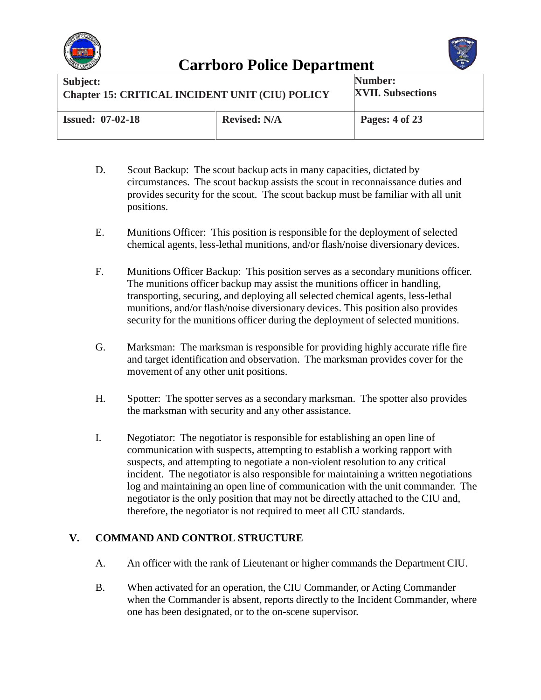



| Subject:                                               |                     | Number:                  |
|--------------------------------------------------------|---------------------|--------------------------|
| <b>Chapter 15: CRITICAL INCIDENT UNIT (CIU) POLICY</b> |                     | <b>XVII. Subsections</b> |
| <b>Issued: 07-02-18</b>                                | <b>Revised: N/A</b> | Pages: 4 of 23           |

- D. Scout Backup: The scout backup acts in many capacities, dictated by circumstances. The scout backup assists the scout in reconnaissance duties and provides security for the scout. The scout backup must be familiar with all unit positions.
- E. Munitions Officer: This position is responsible for the deployment of selected chemical agents, less-lethal munitions, and/or flash/noise diversionary devices.
- F. Munitions Officer Backup: This position serves as a secondary munitions officer. The munitions officer backup may assist the munitions officer in handling, transporting, securing, and deploying all selected chemical agents, less-lethal munitions, and/or flash/noise diversionary devices. This position also provides security for the munitions officer during the deployment of selected munitions.
- G. Marksman: The marksman is responsible for providing highly accurate rifle fire and target identification and observation. The marksman provides cover for the movement of any other unit positions.
- H. Spotter: The spotter serves as a secondary marksman. The spotter also provides the marksman with security and any other assistance.
- I. Negotiator: The negotiator is responsible for establishing an open line of communication with suspects, attempting to establish a working rapport with suspects, and attempting to negotiate a non-violent resolution to any critical incident. The negotiator is also responsible for maintaining a written negotiations log and maintaining an open line of communication with the unit commander. The negotiator is the only position that may not be directly attached to the CIU and, therefore, the negotiator is not required to meet all CIU standards.

#### **V. COMMAND AND CONTROL STRUCTURE**

- A. An officer with the rank of Lieutenant or higher commands the Department CIU.
- B. When activated for an operation, the CIU Commander, or Acting Commander when the Commander is absent, reports directly to the Incident Commander, where one has been designated, or to the on-scene supervisor.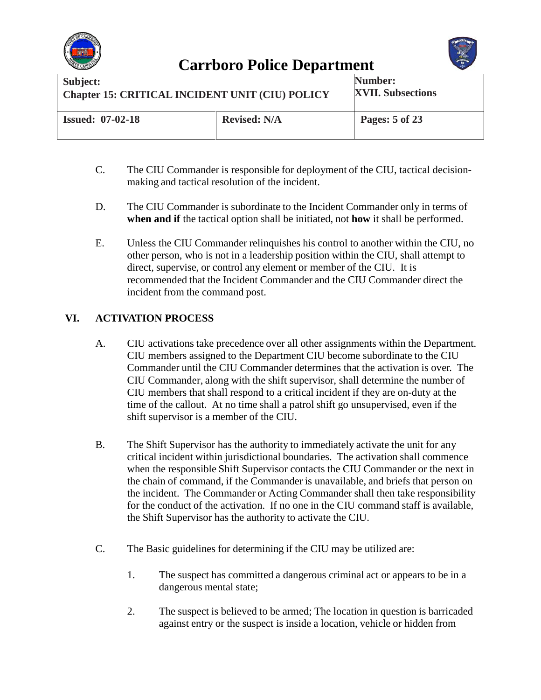



| Subject:                                               |                     | Number:                  |
|--------------------------------------------------------|---------------------|--------------------------|
| <b>Chapter 15: CRITICAL INCIDENT UNIT (CIU) POLICY</b> |                     | <b>XVII. Subsections</b> |
| <b>Issued: 07-02-18</b>                                | <b>Revised: N/A</b> | Pages: 5 of 23           |

- C. The CIU Commander is responsible for deployment of the CIU, tactical decisionmaking and tactical resolution of the incident.
- D. The CIU Commander is subordinate to the Incident Commander only in terms of **when and if** the tactical option shall be initiated, not **how** it shall be performed.
- E. Unless the CIU Commander relinquishes his control to another within the CIU, no other person, who is not in a leadership position within the CIU, shall attempt to direct, supervise, or control any element or member of the CIU. It is recommended that the Incident Commander and the CIU Commander direct the incident from the command post.

#### **VI. ACTIVATION PROCESS**

- A. CIU activations take precedence over all other assignments within the Department. CIU members assigned to the Department CIU become subordinate to the CIU Commander until the CIU Commander determines that the activation is over. The CIU Commander, along with the shift supervisor, shall determine the number of CIU members that shall respond to a critical incident if they are on-duty at the time of the callout. At no time shall a patrol shift go unsupervised, even if the shift supervisor is a member of the CIU.
- B. The Shift Supervisor has the authority to immediately activate the unit for any critical incident within jurisdictional boundaries. The activation shall commence when the responsible Shift Supervisor contacts the CIU Commander or the next in the chain of command, if the Commander is unavailable, and briefs that person on the incident. The Commander or Acting Commander shall then take responsibility for the conduct of the activation. If no one in the CIU command staff is available, the Shift Supervisor has the authority to activate the CIU.
- C. The Basic guidelines for determining if the CIU may be utilized are:
	- 1. The suspect has committed a dangerous criminal act or appears to be in a dangerous mental state;
	- 2. The suspect is believed to be armed; The location in question is barricaded against entry or the suspect is inside a location, vehicle or hidden from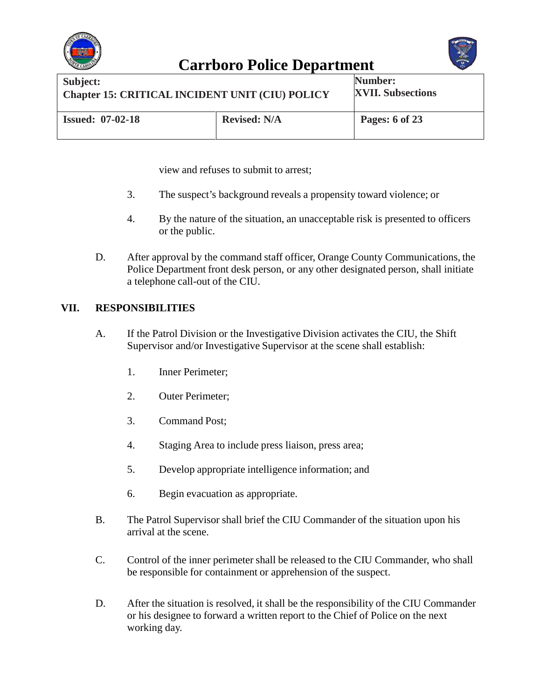



| Subject:                                               |                     | Number:                  |
|--------------------------------------------------------|---------------------|--------------------------|
| <b>Chapter 15: CRITICAL INCIDENT UNIT (CIU) POLICY</b> |                     | <b>XVII. Subsections</b> |
| <b>Issued: 07-02-18</b>                                | <b>Revised: N/A</b> | <b>Pages: 6 of 23</b>    |

view and refuses to submit to arrest;

- 3. The suspect's background reveals a propensity toward violence; or
- 4. By the nature of the situation, an unacceptable risk is presented to officers or the public.
- D. After approval by the command staff officer, Orange County Communications, the Police Department front desk person, or any other designated person, shall initiate a telephone call-out of the CIU.

#### **VII. RESPONSIBILITIES**

- A. If the Patrol Division or the Investigative Division activates the CIU, the Shift Supervisor and/or Investigative Supervisor at the scene shall establish:
	- 1. Inner Perimeter;
	- 2. Outer Perimeter;
	- 3. Command Post;
	- 4. Staging Area to include press liaison, press area;
	- 5. Develop appropriate intelligence information; and
	- 6. Begin evacuation as appropriate.
- B. The Patrol Supervisor shall brief the CIU Commander of the situation upon his arrival at the scene.
- C. Control of the inner perimeter shall be released to the CIU Commander, who shall be responsible for containment or apprehension of the suspect.
- D. After the situation is resolved, it shall be the responsibility of the CIU Commander or his designee to forward a written report to the Chief of Police on the next working day.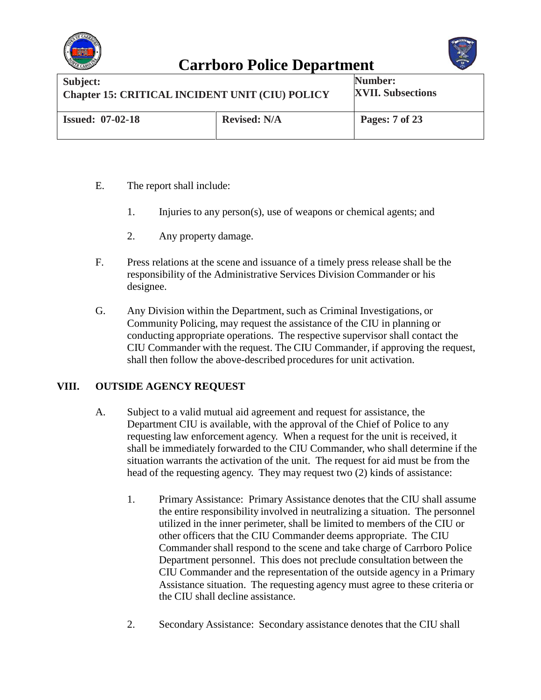



| Subject:                                               |                     | <b>Number:</b>           |
|--------------------------------------------------------|---------------------|--------------------------|
| <b>Chapter 15: CRITICAL INCIDENT UNIT (CIU) POLICY</b> |                     | <b>XVII. Subsections</b> |
| <b>Issued: 07-02-18</b>                                | <b>Revised: N/A</b> | Pages: 7 of 23           |

- E. The report shall include:
	- 1. Injuries to any person(s), use of weapons or chemical agents; and
	- 2. Any property damage.
- F. Press relations at the scene and issuance of a timely press release shall be the responsibility of the Administrative Services Division Commander or his designee.
- G. Any Division within the Department, such as Criminal Investigations, or Community Policing, may request the assistance of the CIU in planning or conducting appropriate operations. The respective supervisor shall contact the CIU Commander with the request. The CIU Commander, if approving the request, shall then follow the above-described procedures for unit activation.

#### **VIII. OUTSIDE AGENCY REQUEST**

- A. Subject to a valid mutual aid agreement and request for assistance, the Department CIU is available, with the approval of the Chief of Police to any requesting law enforcement agency. When a request for the unit is received, it shall be immediately forwarded to the CIU Commander, who shall determine if the situation warrants the activation of the unit. The request for aid must be from the head of the requesting agency. They may request two (2) kinds of assistance:
	- 1. Primary Assistance: Primary Assistance denotes that the CIU shall assume the entire responsibility involved in neutralizing a situation. The personnel utilized in the inner perimeter, shall be limited to members of the CIU or other officers that the CIU Commander deems appropriate. The CIU Commander shall respond to the scene and take charge of Carrboro Police Department personnel. This does not preclude consultation between the CIU Commander and the representation of the outside agency in a Primary Assistance situation. The requesting agency must agree to these criteria or the CIU shall decline assistance.
	- 2. Secondary Assistance: Secondary assistance denotes that the CIU shall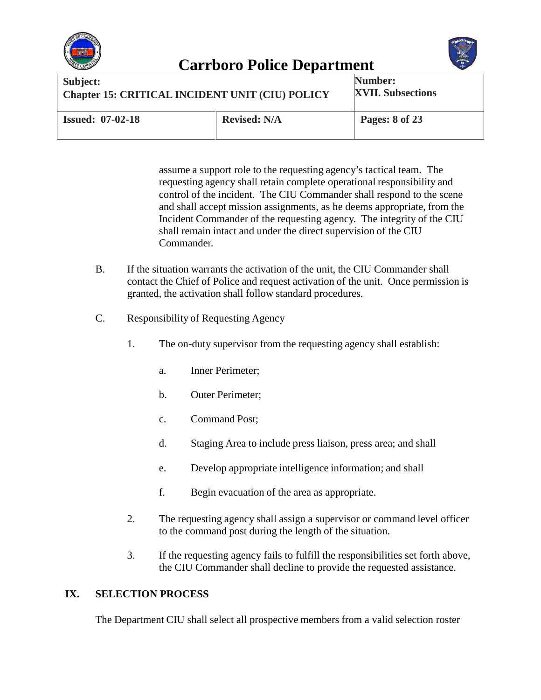



| Subject:                                               |                     | Number:                  |
|--------------------------------------------------------|---------------------|--------------------------|
| <b>Chapter 15: CRITICAL INCIDENT UNIT (CIU) POLICY</b> |                     | <b>XVII. Subsections</b> |
| <b>Issued: 07-02-18</b>                                | <b>Revised: N/A</b> | Pages: 8 of 23           |

assume a support role to the requesting agency's tactical team. The requesting agency shall retain complete operational responsibility and control of the incident. The CIU Commander shall respond to the scene and shall accept mission assignments, as he deems appropriate, from the Incident Commander of the requesting agency. The integrity of the CIU shall remain intact and under the direct supervision of the CIU Commander.

- B. If the situation warrants the activation of the unit, the CIU Commander shall contact the Chief of Police and request activation of the unit. Once permission is granted, the activation shall follow standard procedures.
- C. Responsibility of Requesting Agency
	- 1. The on-duty supervisor from the requesting agency shall establish:
		- a. Inner Perimeter;
		- b. Outer Perimeter;
		- c. Command Post;
		- d. Staging Area to include press liaison, press area; and shall
		- e. Develop appropriate intelligence information; and shall
		- f. Begin evacuation of the area as appropriate.
	- 2. The requesting agency shall assign a supervisor or command level officer to the command post during the length of the situation.
	- 3. If the requesting agency fails to fulfill the responsibilities set forth above, the CIU Commander shall decline to provide the requested assistance.

#### **IX. SELECTION PROCESS**

The Department CIU shall select all prospective members from a valid selection roster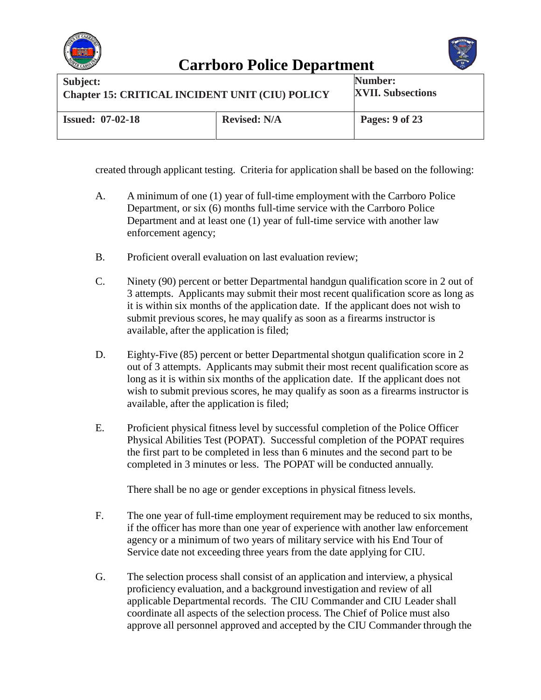



| Subject:                                               |                     | Number:                  |
|--------------------------------------------------------|---------------------|--------------------------|
| <b>Chapter 15: CRITICAL INCIDENT UNIT (CIU) POLICY</b> |                     | <b>XVII. Subsections</b> |
| <b>Issued: 07-02-18</b>                                | <b>Revised: N/A</b> | Pages: 9 of 23           |

created through applicant testing. Criteria for application shall be based on the following:

- A. A minimum of one (1) year of full-time employment with the Carrboro Police Department, or six (6) months full-time service with the Carrboro Police Department and at least one (1) year of full-time service with another law enforcement agency;
- B. Proficient overall evaluation on last evaluation review;
- C. Ninety (90) percent or better Departmental handgun qualification score in 2 out of 3 attempts. Applicants may submit their most recent qualification score as long as it is within six months of the application date. If the applicant does not wish to submit previous scores, he may qualify as soon as a firearms instructor is available, after the application is filed;
- D. Eighty-Five (85) percent or better Departmental shotgun qualification score in 2 out of 3 attempts. Applicants may submit their most recent qualification score as long as it is within six months of the application date. If the applicant does not wish to submit previous scores, he may qualify as soon as a firearms instructor is available, after the application is filed;
- E. Proficient physical fitness level by successful completion of the Police Officer Physical Abilities Test (POPAT). Successful completion of the POPAT requires the first part to be completed in less than 6 minutes and the second part to be completed in 3 minutes or less. The POPAT will be conducted annually.

There shall be no age or gender exceptions in physical fitness levels.

- F. The one year of full-time employment requirement may be reduced to six months, if the officer has more than one year of experience with another law enforcement agency or a minimum of two years of military service with his End Tour of Service date not exceeding three years from the date applying for CIU.
- G. The selection process shall consist of an application and interview, a physical proficiency evaluation, and a background investigation and review of all applicable Departmental records. The CIU Commander and CIU Leader shall coordinate all aspects of the selection process. The Chief of Police must also approve all personnel approved and accepted by the CIU Commander through the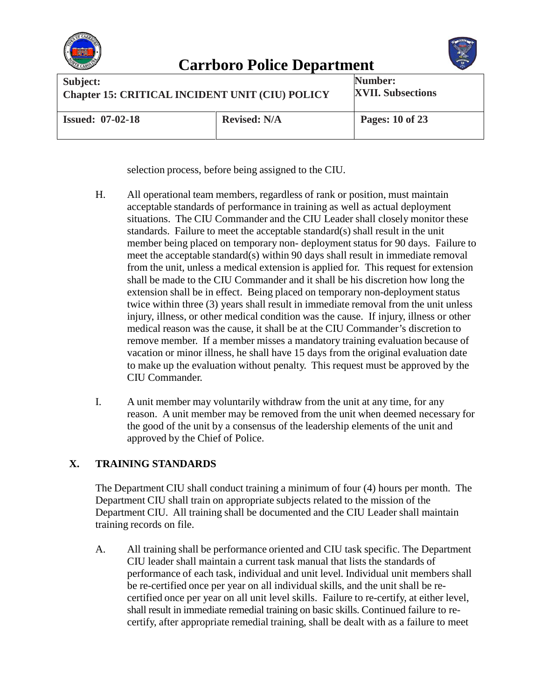



| Subject:                                               |                     | Number:                  |
|--------------------------------------------------------|---------------------|--------------------------|
| <b>Chapter 15: CRITICAL INCIDENT UNIT (CIU) POLICY</b> |                     | <b>XVII. Subsections</b> |
| <b>Issued: 07-02-18</b>                                | <b>Revised: N/A</b> | Pages: 10 of 23          |

selection process, before being assigned to the CIU.

- H. All operational team members, regardless of rank or position, must maintain acceptable standards of performance in training as well as actual deployment situations. The CIU Commander and the CIU Leader shall closely monitor these standards. Failure to meet the acceptable standard(s) shall result in the unit member being placed on temporary non- deployment status for 90 days. Failure to meet the acceptable standard(s) within 90 days shall result in immediate removal from the unit, unless a medical extension is applied for. This request for extension shall be made to the CIU Commander and it shall be his discretion how long the extension shall be in effect. Being placed on temporary non-deployment status twice within three (3) years shall result in immediate removal from the unit unless injury, illness, or other medical condition was the cause. If injury, illness or other medical reason was the cause, it shall be at the CIU Commander's discretion to remove member. If a member misses a mandatory training evaluation because of vacation or minor illness, he shall have 15 days from the original evaluation date to make up the evaluation without penalty. This request must be approved by the CIU Commander.
- I. A unit member may voluntarily withdraw from the unit at any time, for any reason. A unit member may be removed from the unit when deemed necessary for the good of the unit by a consensus of the leadership elements of the unit and approved by the Chief of Police.

#### **X. TRAINING STANDARDS**

The Department CIU shall conduct training a minimum of four (4) hours per month. The Department CIU shall train on appropriate subjects related to the mission of the Department CIU. All training shall be documented and the CIU Leader shall maintain training records on file.

A. All training shall be performance oriented and CIU task specific. The Department CIU leader shall maintain a current task manual that lists the standards of performance of each task, individual and unit level. Individual unit members shall be re-certified once per year on all individual skills, and the unit shall be recertified once per year on all unit level skills. Failure to re-certify, at either level, shall result in immediate remedial training on basic skills. Continued failure to recertify, after appropriate remedial training, shall be dealt with as a failure to meet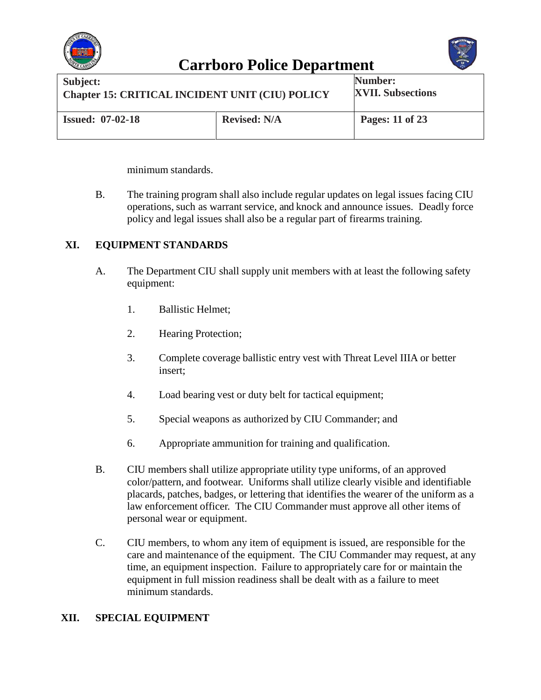



| Subject:                                               |                     | Number:                  |
|--------------------------------------------------------|---------------------|--------------------------|
| <b>Chapter 15: CRITICAL INCIDENT UNIT (CIU) POLICY</b> |                     | <b>XVII. Subsections</b> |
| <b>Issued: 07-02-18</b>                                | <b>Revised: N/A</b> | Pages: 11 of 23          |

minimum standards.

B. The training program shall also include regular updates on legal issues facing CIU operations, such as warrant service, and knock and announce issues. Deadly force policy and legal issues shall also be a regular part of firearms training.

#### **XI. EQUIPMENT STANDARDS**

- A. The Department CIU shall supply unit members with at least the following safety equipment:
	- 1. Ballistic Helmet;
	- 2. Hearing Protection;
	- 3. Complete coverage ballistic entry vest with Threat Level IIIA or better insert;
	- 4. Load bearing vest or duty belt for tactical equipment;
	- 5. Special weapons as authorized by CIU Commander; and
	- 6. Appropriate ammunition for training and qualification.
- B. CIU members shall utilize appropriate utility type uniforms, of an approved color/pattern, and footwear. Uniforms shall utilize clearly visible and identifiable placards, patches, badges, or lettering that identifies the wearer of the uniform as a law enforcement officer. The CIU Commander must approve all other items of personal wear or equipment.
- C. CIU members, to whom any item of equipment is issued, are responsible for the care and maintenance of the equipment. The CIU Commander may request, at any time, an equipment inspection. Failure to appropriately care for or maintain the equipment in full mission readiness shall be dealt with as a failure to meet minimum standards.

#### **XII. SPECIAL EQUIPMENT**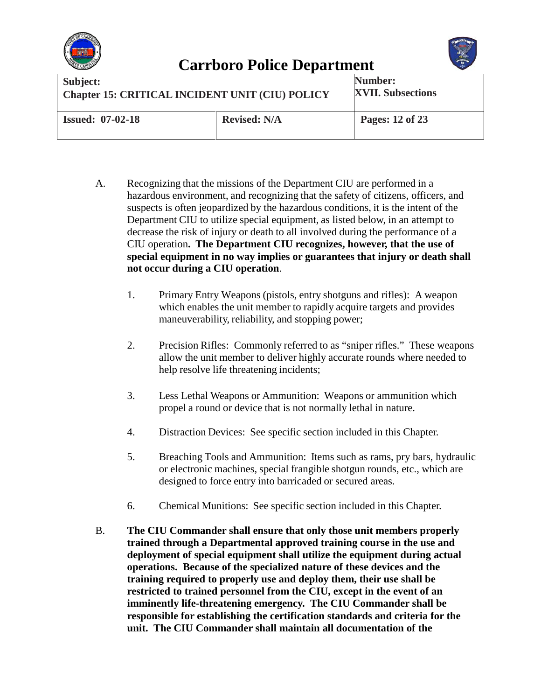



| Subject:                                               |                     | Number:                  |
|--------------------------------------------------------|---------------------|--------------------------|
| <b>Chapter 15: CRITICAL INCIDENT UNIT (CIU) POLICY</b> |                     | <b>XVII. Subsections</b> |
| <b>Issued: 07-02-18</b>                                | <b>Revised: N/A</b> | Pages: 12 of 23          |

- A. Recognizing that the missions of the Department CIU are performed in a hazardous environment, and recognizing that the safety of citizens, officers, and suspects is often jeopardized by the hazardous conditions, it is the intent of the Department CIU to utilize special equipment, as listed below, in an attempt to decrease the risk of injury or death to all involved during the performance of a CIU operation**. The Department CIU recognizes, however, that the use of special equipment in no way implies or guarantees that injury or death shall not occur during a CIU operation**.
	- 1. Primary Entry Weapons (pistols, entry shotguns and rifles): A weapon which enables the unit member to rapidly acquire targets and provides maneuverability, reliability, and stopping power;
	- 2. Precision Rifles: Commonly referred to as "sniper rifles." These weapons allow the unit member to deliver highly accurate rounds where needed to help resolve life threatening incidents;
	- 3. Less Lethal Weapons or Ammunition: Weapons or ammunition which propel a round or device that is not normally lethal in nature.
	- 4. Distraction Devices: See specific section included in this Chapter.
	- 5. Breaching Tools and Ammunition: Items such as rams, pry bars, hydraulic or electronic machines, special frangible shotgun rounds, etc., which are designed to force entry into barricaded or secured areas.
	- 6. Chemical Munitions: See specific section included in this Chapter.
- B. **The CIU Commander shall ensure that only those unit members properly trained through a Departmental approved training course in the use and deployment of special equipment shall utilize the equipment during actual operations. Because of the specialized nature of these devices and the training required to properly use and deploy them, their use shall be restricted to trained personnel from the CIU, except in the event of an imminently life-threatening emergency. The CIU Commander shall be responsible for establishing the certification standards and criteria for the unit. The CIU Commander shall maintain all documentation of the**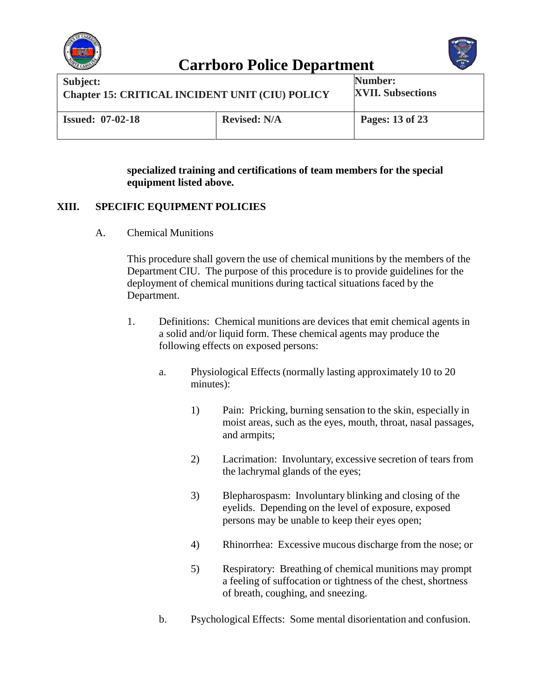



| Subject:                                               |                     | Number:                  |
|--------------------------------------------------------|---------------------|--------------------------|
| <b>Chapter 15: CRITICAL INCIDENT UNIT (CIU) POLICY</b> |                     | <b>XVII. Subsections</b> |
| <b>Issued: 07-02-18</b>                                | <b>Revised: N/A</b> | Pages: 13 of 23          |

#### **specialized training and certifications of team members for the special equipment listed above.**

#### **XIII. SPECIFIC EQUIPMENT POLICIES**

A. Chemical Munitions

This procedure shall govern the use of chemical munitions by the members of the Department CIU. The purpose of this procedure is to provide guidelines for the deployment of chemical munitions during tactical situations faced by the Department.

- 1. Definitions: Chemical munitions are devices that emit chemical agents in a solid and/or liquid form. These chemical agents may produce the following effects on exposed persons:
	- a. Physiological Effects (normally lasting approximately 10 to 20 minutes):
		- 1) Pain: Pricking, burning sensation to the skin, especially in moist areas, such as the eyes, mouth, throat, nasal passages, and armpits;
		- 2) Lacrimation: Involuntary, excessive secretion of tears from the lachrymal glands of the eyes;
		- 3) Blepharospasm: Involuntary blinking and closing of the eyelids. Depending on the level of exposure, exposed persons may be unable to keep their eyes open;
		- 4) Rhinorrhea: Excessive mucous discharge from the nose; or
		- 5) Respiratory: Breathing of chemical munitions may prompt a feeling of suffocation or tightness of the chest, shortness of breath, coughing, and sneezing.
	- b. Psychological Effects: Some mental disorientation and confusion.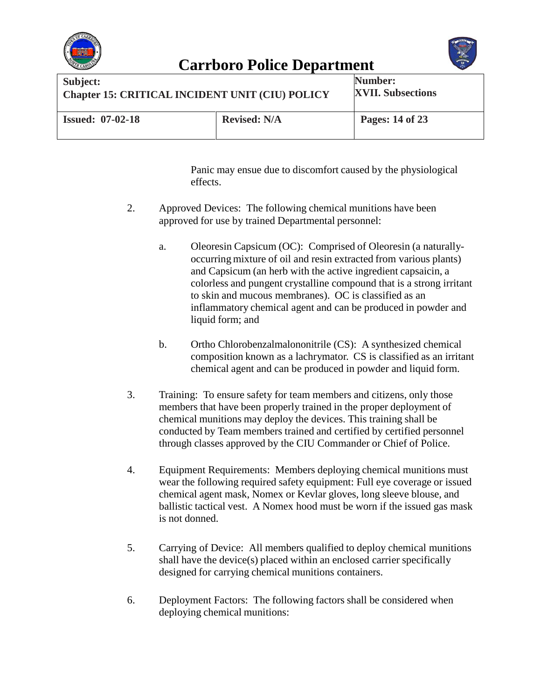



| Subject:                                               |                     | <b>Number:</b>           |
|--------------------------------------------------------|---------------------|--------------------------|
| <b>Chapter 15: CRITICAL INCIDENT UNIT (CIU) POLICY</b> |                     | <b>XVII. Subsections</b> |
| <b>Issued: 07-02-18</b>                                | <b>Revised: N/A</b> | Pages: 14 of 23          |

Panic may ensue due to discomfort caused by the physiological effects.

- 2. Approved Devices:The following chemical munitions have been approved for use by trained Departmental personnel:
	- a. Oleoresin Capsicum (OC): Comprised of Oleoresin (a naturallyoccurring mixture of oil and resin extracted from various plants) and Capsicum (an herb with the active ingredient capsaicin, a colorless and pungent crystalline compound that is a strong irritant to skin and mucous membranes). OC is classified as an inflammatory chemical agent and can be produced in powder and liquid form; and
	- b. Ortho Chlorobenzalmalononitrile (CS): A synthesized chemical composition known as a lachrymator. CS is classified as an irritant chemical agent and can be produced in powder and liquid form.
- 3. Training: To ensure safety for team members and citizens, only those members that have been properly trained in the proper deployment of chemical munitions may deploy the devices. This training shall be conducted by Team members trained and certified by certified personnel through classes approved by the CIU Commander or Chief of Police.
- 4. Equipment Requirements: Members deploying chemical munitions must wear the following required safety equipment: Full eye coverage or issued chemical agent mask, Nomex or Kevlar gloves, long sleeve blouse, and ballistic tactical vest. A Nomex hood must be worn if the issued gas mask is not donned.
- 5. Carrying of Device: All members qualified to deploy chemical munitions shall have the device(s) placed within an enclosed carrier specifically designed for carrying chemical munitions containers.
- 6. Deployment Factors: The following factors shall be considered when deploying chemical munitions: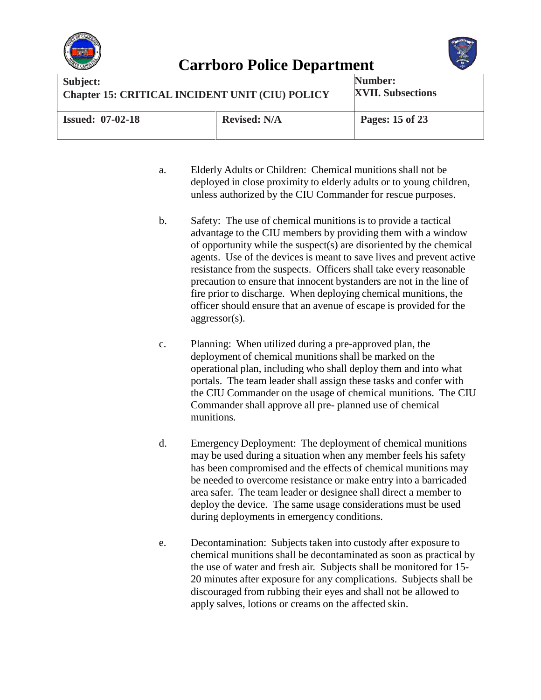



| Subject:                                               |                     | Number:                  |
|--------------------------------------------------------|---------------------|--------------------------|
| <b>Chapter 15: CRITICAL INCIDENT UNIT (CIU) POLICY</b> |                     | <b>XVII. Subsections</b> |
| <b>Issued: 07-02-18</b>                                | <b>Revised: N/A</b> | Pages: 15 of 23          |

- a. Elderly Adults or Children: Chemical munitions shall not be deployed in close proximity to elderly adults or to young children, unless authorized by the CIU Commander for rescue purposes.
- b. Safety: The use of chemical munitions is to provide a tactical advantage to the CIU members by providing them with a window of opportunity while the suspect(s) are disoriented by the chemical agents. Use of the devices is meant to save lives and prevent active resistance from the suspects. Officers shall take every reasonable precaution to ensure that innocent bystanders are not in the line of fire prior to discharge. When deploying chemical munitions, the officer should ensure that an avenue of escape is provided for the aggressor(s).
- c. Planning: When utilized during a pre-approved plan, the deployment of chemical munitions shall be marked on the operational plan, including who shall deploy them and into what portals. The team leader shall assign these tasks and confer with the CIU Commander on the usage of chemical munitions. The CIU Commander shall approve all pre- planned use of chemical munitions.
- d. Emergency Deployment: The deployment of chemical munitions may be used during a situation when any member feels his safety has been compromised and the effects of chemical munitions may be needed to overcome resistance or make entry into a barricaded area safer. The team leader or designee shall direct a member to deploy the device. The same usage considerations must be used during deployments in emergency conditions.
- e. Decontamination: Subjects taken into custody after exposure to chemical munitions shall be decontaminated as soon as practical by the use of water and fresh air. Subjects shall be monitored for 15- 20 minutes after exposure for any complications. Subjects shall be discouraged from rubbing their eyes and shall not be allowed to apply salves, lotions or creams on the affected skin.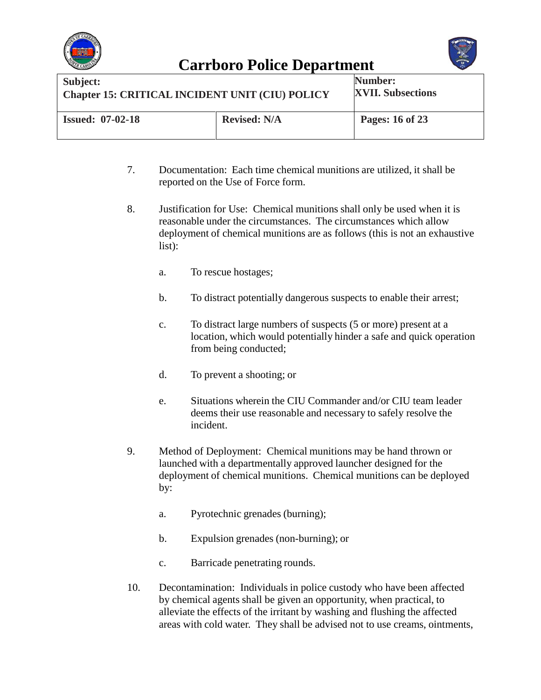



| Subject:                                               |                     | Number:                  |
|--------------------------------------------------------|---------------------|--------------------------|
| <b>Chapter 15: CRITICAL INCIDENT UNIT (CIU) POLICY</b> |                     | <b>XVII. Subsections</b> |
| <b>Issued: 07-02-18</b>                                | <b>Revised: N/A</b> | Pages: 16 of 23          |

- 7. Documentation: Each time chemical munitions are utilized, it shall be reported on the Use of Force form.
- 8. Justification for Use: Chemical munitions shall only be used when it is reasonable under the circumstances. The circumstances which allow deployment of chemical munitions are as follows (this is not an exhaustive list):
	- a. To rescue hostages;
	- b. To distract potentially dangerous suspects to enable their arrest;
	- c. To distract large numbers of suspects (5 or more) present at a location, which would potentially hinder a safe and quick operation from being conducted;
	- d. To prevent a shooting; or
	- e. Situations wherein the CIU Commander and/or CIU team leader deems their use reasonable and necessary to safely resolve the incident.
- 9. Method of Deployment:Chemical munitions may be hand thrown or launched with a departmentally approved launcher designed for the deployment of chemical munitions. Chemical munitions can be deployed by:
	- a. Pyrotechnic grenades (burning);
	- b. Expulsion grenades (non-burning); or
	- c. Barricade penetrating rounds.
- 10. Decontamination:Individuals in police custody who have been affected by chemical agents shall be given an opportunity, when practical, to alleviate the effects of the irritant by washing and flushing the affected areas with cold water. They shall be advised not to use creams, ointments,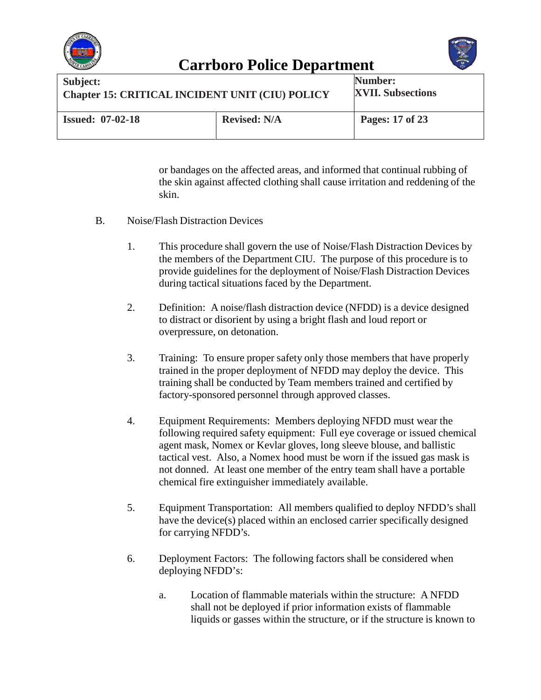



| Subject:                                               |                     | Number:                  |
|--------------------------------------------------------|---------------------|--------------------------|
| <b>Chapter 15: CRITICAL INCIDENT UNIT (CIU) POLICY</b> |                     | <b>XVII. Subsections</b> |
| <b>Issued: 07-02-18</b>                                | <b>Revised: N/A</b> | Pages: 17 of 23          |

or bandages on the affected areas, and informed that continual rubbing of the skin against affected clothing shall cause irritation and reddening of the skin.

- B. Noise/Flash Distraction Devices
	- 1. This procedure shall govern the use of Noise/Flash Distraction Devices by the members of the Department CIU. The purpose of this procedure is to provide guidelines for the deployment of Noise/Flash Distraction Devices during tactical situations faced by the Department.
	- 2. Definition: A noise/flash distraction device (NFDD) is a device designed to distract or disorient by using a bright flash and loud report or overpressure, on detonation.
	- 3. Training: To ensure proper safety only those members that have properly trained in the proper deployment of NFDD may deploy the device. This training shall be conducted by Team members trained and certified by factory-sponsored personnel through approved classes.
	- 4. Equipment Requirements: Members deploying NFDD must wear the following required safety equipment: Full eye coverage or issued chemical agent mask, Nomex or Kevlar gloves, long sleeve blouse, and ballistic tactical vest. Also, a Nomex hood must be worn if the issued gas mask is not donned. At least one member of the entry team shall have a portable chemical fire extinguisher immediately available.
	- 5. Equipment Transportation: All members qualified to deploy NFDD's shall have the device(s) placed within an enclosed carrier specifically designed for carrying NFDD's.
	- 6. Deployment Factors: The following factors shall be considered when deploying NFDD's:
		- a. Location of flammable materials within the structure: A NFDD shall not be deployed if prior information exists of flammable liquids or gasses within the structure, or if the structure is known to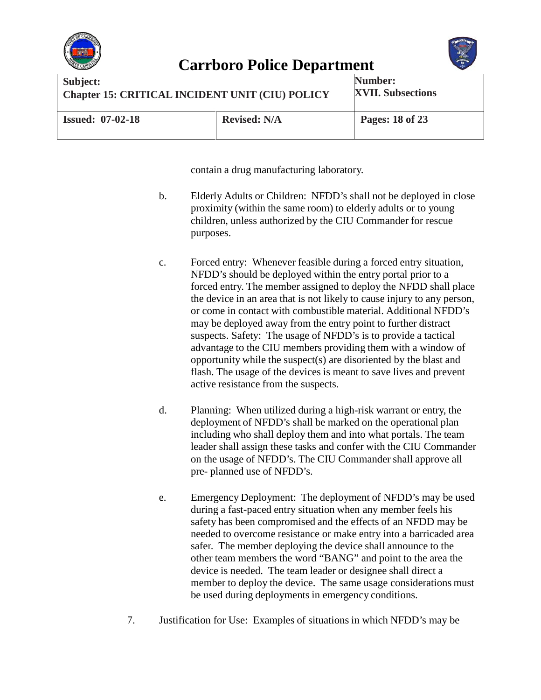



| Subject:                                               |                     | Number:                  |
|--------------------------------------------------------|---------------------|--------------------------|
| <b>Chapter 15: CRITICAL INCIDENT UNIT (CIU) POLICY</b> |                     | <b>XVII. Subsections</b> |
| <b>Issued: 07-02-18</b>                                | <b>Revised: N/A</b> | Pages: 18 of 23          |

contain a drug manufacturing laboratory.

- b. Elderly Adults or Children: NFDD's shall not be deployed in close proximity (within the same room) to elderly adults or to young children, unless authorized by the CIU Commander for rescue purposes.
- c. Forced entry: Whenever feasible during a forced entry situation, NFDD's should be deployed within the entry portal prior to a forced entry. The member assigned to deploy the NFDD shall place the device in an area that is not likely to cause injury to any person, or come in contact with combustible material. Additional NFDD's may be deployed away from the entry point to further distract suspects. Safety: The usage of NFDD's is to provide a tactical advantage to the CIU members providing them with a window of opportunity while the suspect(s) are disoriented by the blast and flash. The usage of the devices is meant to save lives and prevent active resistance from the suspects.
- d. Planning: When utilized during a high-risk warrant or entry, the deployment of NFDD's shall be marked on the operational plan including who shall deploy them and into what portals. The team leader shall assign these tasks and confer with the CIU Commander on the usage of NFDD's. The CIU Commander shall approve all pre- planned use of NFDD's.
- e. Emergency Deployment: The deployment of NFDD's may be used during a fast-paced entry situation when any member feels his safety has been compromised and the effects of an NFDD may be needed to overcome resistance or make entry into a barricaded area safer. The member deploying the device shall announce to the other team members the word "BANG" and point to the area the device is needed. The team leader or designee shall direct a member to deploy the device. The same usage considerations must be used during deployments in emergency conditions.
- 7. Justification for Use: Examples of situations in which NFDD's may be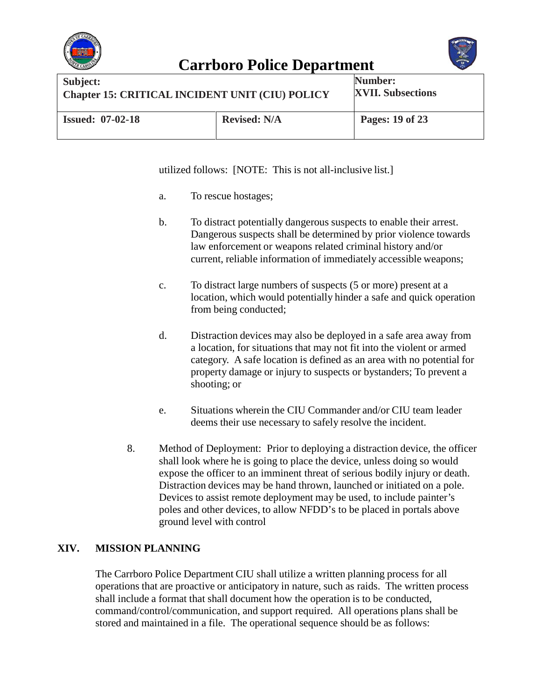



| Subject:                                               |                     | Number:                  |
|--------------------------------------------------------|---------------------|--------------------------|
| <b>Chapter 15: CRITICAL INCIDENT UNIT (CIU) POLICY</b> |                     | <b>XVII. Subsections</b> |
| <b>Issued: 07-02-18</b>                                | <b>Revised: N/A</b> | Pages: 19 of 23          |

utilized follows: [NOTE: This is not all-inclusive list.]

- a. To rescue hostages;
- b. To distract potentially dangerous suspects to enable their arrest. Dangerous suspects shall be determined by prior violence towards law enforcement or weapons related criminal history and/or current, reliable information of immediately accessible weapons;
- c. To distract large numbers of suspects (5 or more) present at a location, which would potentially hinder a safe and quick operation from being conducted;
- d. Distraction devices may also be deployed in a safe area away from a location, for situations that may not fit into the violent or armed category. A safe location is defined as an area with no potential for property damage or injury to suspects or bystanders; To prevent a shooting; or
- e. Situations wherein the CIU Commander and/or CIU team leader deems their use necessary to safely resolve the incident.
- 8. Method of Deployment: Prior to deploying a distraction device, the officer shall look where he is going to place the device, unless doing so would expose the officer to an imminent threat of serious bodily injury or death. Distraction devices may be hand thrown, launched or initiated on a pole. Devices to assist remote deployment may be used, to include painter's poles and other devices, to allow NFDD's to be placed in portals above ground level with control

#### **XIV. MISSION PLANNING**

The Carrboro Police Department CIU shall utilize a written planning process for all operations that are proactive or anticipatory in nature, such as raids. The written process shall include a format that shall document how the operation is to be conducted, command/control/communication, and support required. All operations plans shall be stored and maintained in a file. The operational sequence should be as follows: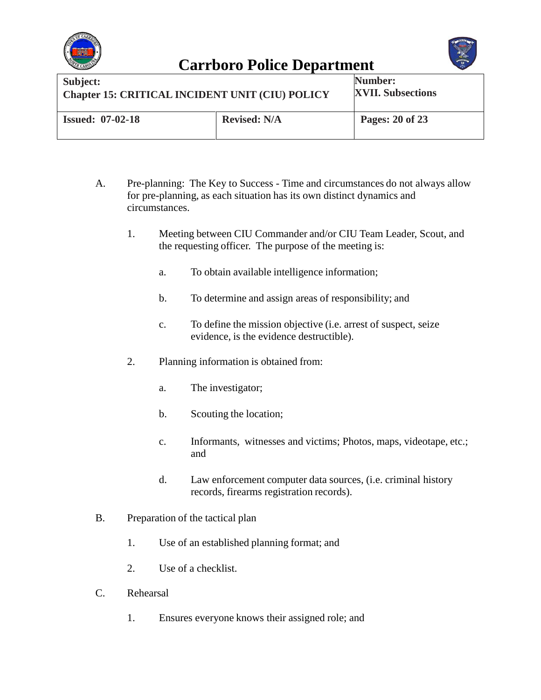



| Subject:                                               |                     | Number:                  |
|--------------------------------------------------------|---------------------|--------------------------|
| <b>Chapter 15: CRITICAL INCIDENT UNIT (CIU) POLICY</b> |                     | <b>XVII. Subsections</b> |
| <b>Issued: 07-02-18</b>                                | <b>Revised: N/A</b> | Pages: 20 of 23          |

- A. Pre-planning: The Key to Success Time and circumstances do not always allow for pre-planning, as each situation has its own distinct dynamics and circumstances.
	- 1. Meeting between CIU Commander and/or CIU Team Leader, Scout, and the requesting officer. The purpose of the meeting is:
		- a. To obtain available intelligence information;
		- b. To determine and assign areas of responsibility; and
		- c. To define the mission objective (i.e. arrest of suspect, seize evidence, is the evidence destructible).
	- 2. Planning information is obtained from:
		- a. The investigator;
		- b. Scouting the location;
		- c. Informants, witnesses and victims; Photos, maps, videotape, etc.; and
		- d. Law enforcement computer data sources, (i.e. criminal history records, firearms registration records).
- B. Preparation of the tactical plan
	- 1. Use of an established planning format; and
	- 2. Use of a checklist.
- C. Rehearsal
	- 1. Ensures everyone knows their assigned role; and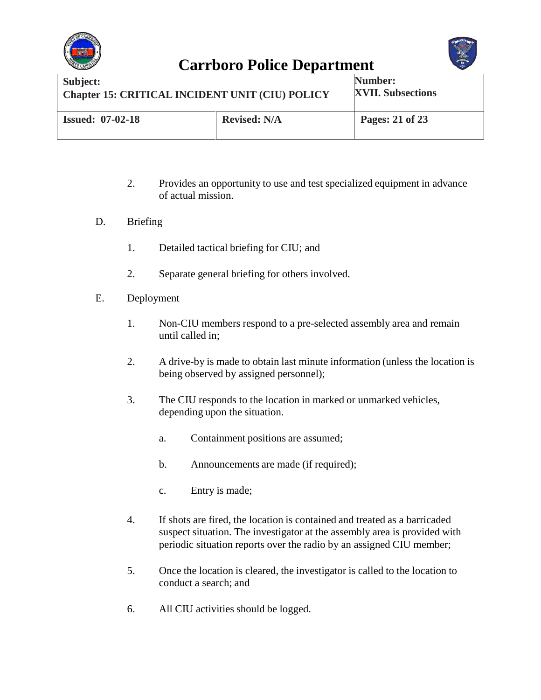



| Subject:                                               |                     | Number:                  |
|--------------------------------------------------------|---------------------|--------------------------|
| <b>Chapter 15: CRITICAL INCIDENT UNIT (CIU) POLICY</b> |                     | <b>XVII. Subsections</b> |
| <b>Issued: 07-02-18</b>                                | <b>Revised: N/A</b> | Pages: 21 of 23          |

- 2. Provides an opportunity to use and test specialized equipment in advance of actual mission.
- D. Briefing
	- 1. Detailed tactical briefing for CIU; and
	- 2. Separate general briefing for others involved.
- E. Deployment
	- 1. Non-CIU members respond to a pre-selected assembly area and remain until called in;
	- 2. A drive-by is made to obtain last minute information (unless the location is being observed by assigned personnel);
	- 3. The CIU responds to the location in marked or unmarked vehicles, depending upon the situation.
		- a. Containment positions are assumed;
		- b. Announcements are made (if required);
		- c. Entry is made;
	- 4. If shots are fired, the location is contained and treated as a barricaded suspect situation. The investigator at the assembly area is provided with periodic situation reports over the radio by an assigned CIU member;
	- 5. Once the location is cleared, the investigator is called to the location to conduct a search; and
	- 6. All CIU activities should be logged.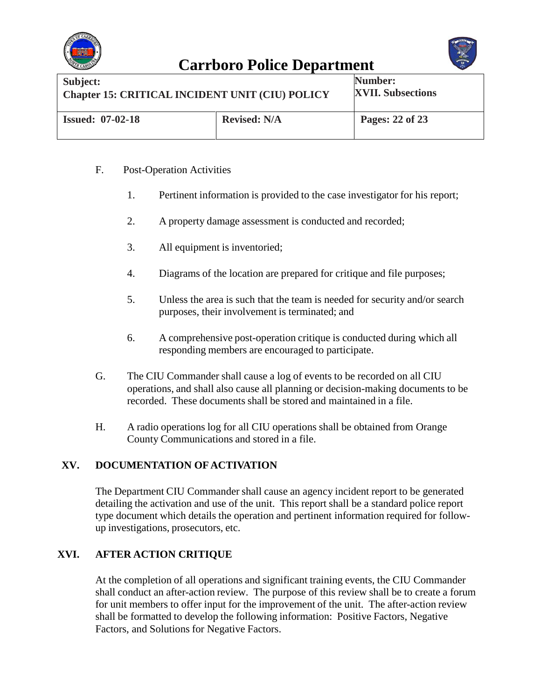



| Subject:                                               |                     | Number:                  |
|--------------------------------------------------------|---------------------|--------------------------|
| <b>Chapter 15: CRITICAL INCIDENT UNIT (CIU) POLICY</b> |                     | <b>XVII. Subsections</b> |
| <b>Issued: 07-02-18</b>                                | <b>Revised: N/A</b> | Pages: 22 of 23          |

#### F. Post-Operation Activities

- 1. Pertinent information is provided to the case investigator for his report;
- 2. A property damage assessment is conducted and recorded;
- 3. All equipment is inventoried;
- 4. Diagrams of the location are prepared for critique and file purposes;
- 5. Unless the area is such that the team is needed for security and/or search purposes, their involvement is terminated; and
- 6. A comprehensive post-operation critique is conducted during which all responding members are encouraged to participate.
- G. The CIU Commander shall cause a log of events to be recorded on all CIU operations, and shall also cause all planning or decision-making documents to be recorded. These documents shall be stored and maintained in a file.
- H. A radio operations log for all CIU operations shall be obtained from Orange County Communications and stored in a file.

#### **XV. DOCUMENTATION OF ACTIVATION**

The Department CIU Commander shall cause an agency incident report to be generated detailing the activation and use of the unit. This report shall be a standard police report type document which details the operation and pertinent information required for followup investigations, prosecutors, etc.

#### **XVI. AFTER ACTION CRITIQUE**

At the completion of all operations and significant training events, the CIU Commander shall conduct an after-action review. The purpose of this review shall be to create a forum for unit members to offer input for the improvement of the unit. The after-action review shall be formatted to develop the following information: Positive Factors, Negative Factors, and Solutions for Negative Factors.